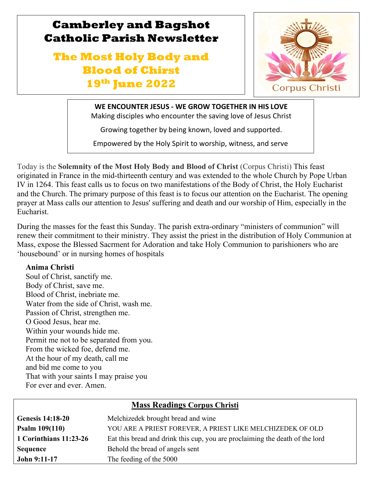

# **The Most Holy Body and Blood of Chirst 19th June 2022**



**WE ENCOUNTER JESUS - WE GROW TOGETHER IN HIS LOVE** Making disciples who encounter the saving love of Jesus Christ

Growing together by being known, loved and supported.

Empowered by the Holy Spirit to worship, witness, and serve

Today is the **Solemnity of the Most Holy Body and Blood of Christ** (Corpus Christi) This feast originated in France in the mid-thirteenth century and was extended to the whole Church by Pope Urban IV in 1264. This feast calls us to focus on two manifestations of the Body of Christ, the Holy Eucharist and the Church. The primary purpose of this feast is to focus our attention on the Eucharist. The opening prayer at Mass calls our attention to Jesus' suffering and death and our worship of Him, especially in the Eucharist.

During the masses for the feast this Sunday. The parish extra-ordinary "ministers of communion" will renew their commitment to their ministry. They assist the priest in the distribution of Holy Communion at Mass, expose the Blessed Sacrment for Adoration and take Holy Communion to parishioners who are 'housebound' or in nursing homes of hospitals

#### **Anima Christi**

l

g

Soul of Christ, sanctify me. Body of Christ, save me. Blood of Christ, inebriate me. Water from the side of Christ, wash me. Passion of Christ, strengthen me. O Good Jesus, hear me. Within your wounds hide me. Permit me not to be separated from you. From the wicked foe, defend me. At the hour of my death, call me and bid me come to you That with your saints I may praise you For ever and ever. Amen.

### **Mass Readings Corpus Christi**

| <b>Genesis 14:18-20</b> | Melchizedek brought bread and wine                                           |
|-------------------------|------------------------------------------------------------------------------|
| <b>Psalm 109(110)</b>   | YOU ARE A PRIEST FOREVER, A PRIEST LIKE MELCHIZEDEK OF OLD                   |
| 1 Corinthians 11:23-26  | Eat this bread and drink this cup, you are proclaiming the death of the lord |
| <b>Sequence</b>         | Behold the bread of angels sent                                              |
| <b>John 9:11-17</b>     | The feeding of the 5000                                                      |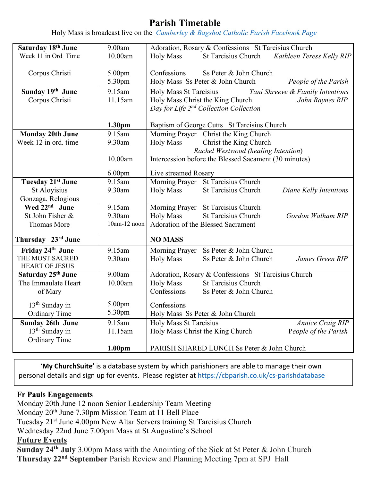# **Parish Timetable**

Holy Mass is broadcast live on the *[Camberley & Bagshot Catholic Parish Facebook Page](https://www.facebook.com/Camberley-Bagshot-Catholic-Parish-102099478101801/)*

| Saturday 18th June         | 9.00am             | Adoration, Rosary & Confessions St Tarcisius Church                 |  |  |
|----------------------------|--------------------|---------------------------------------------------------------------|--|--|
| Week 11 in Ord Time        | 10.00am            | St Tarcisius Church Kathleen Teress Kelly RIP<br><b>Holy Mass</b>   |  |  |
|                            |                    |                                                                     |  |  |
| Corpus Christi             | 5.00pm             | Ss Peter & John Church<br>Confessions                               |  |  |
|                            | 5.30pm             | Holy Mass Ss Peter & John Church<br>People of the Parish            |  |  |
|                            |                    |                                                                     |  |  |
| Sunday 19th June           | 9.15am             | Tani Shreeve & Family Intentions<br>Holy Mass St Tarcisius          |  |  |
| Corpus Christi             | 11.15am            | Holy Mass Christ the King Church<br>John Raynes RIP                 |  |  |
|                            |                    | Day for Life 2 <sup>nd</sup> Collection Collection                  |  |  |
|                            | 1.30 <sub>pm</sub> | Baptism of George Cutts St Tarcisius Church                         |  |  |
| <b>Monday 20th June</b>    | 9.15am             | Morning Prayer Christ the King Church                               |  |  |
| Week 12 in ord, time       | 9.30am             | Christ the King Church<br><b>Holy Mass</b>                          |  |  |
|                            |                    | Rachel Westwood (healing Intention)                                 |  |  |
|                            | 10.00am            | Intercession before the Blessed Sacament (30 minutes)               |  |  |
|                            |                    |                                                                     |  |  |
|                            | 6.00 <sub>pm</sub> | Live streamed Rosary                                                |  |  |
| Tuesday 21st June          | 9.15am             | Morning Prayer St Tarcisius Church                                  |  |  |
| St Aloyisius               | 9.30am             | St Tarcisius Church<br><b>Holy Mass</b><br>Diane Kelly Intentions   |  |  |
| Gonzaga, Relogious         |                    |                                                                     |  |  |
| Wed 22 <sup>nd</sup> June  | 9.15am             | Morning Prayer St Tarcisius Church                                  |  |  |
| St John Fisher &           | 9.30am             | <b>St Tarcisius Church</b><br><b>Holy Mass</b><br>Gordon Walham RIP |  |  |
| <b>Thomas More</b>         | 10am-12 noon       | Adoration of the Blessed Sacrament                                  |  |  |
| Thursday 23rd June         |                    | <b>NO MASS</b>                                                      |  |  |
| Friday 24th June           | 9.15am             | Morning Prayer<br>Ss Peter & John Church                            |  |  |
| THE MOST SACRED            | 9.30am             | <b>Holy Mass</b><br>Ss Peter & John Church<br>James Green RIP       |  |  |
| <b>HEART OF JESUS</b>      |                    |                                                                     |  |  |
| Saturday 25th June         | 9.00am             | Adoration, Rosary & Confessions St Tarcisius Church                 |  |  |
| The Immaulate Heart        | 10.00am            | <b>Holy Mass</b><br><b>St Tarcisius Church</b>                      |  |  |
| of Mary                    |                    | Confessions<br>Ss Peter & John Church                               |  |  |
| 13 <sup>th</sup> Sunday in | 5.00 <sub>pm</sub> | Confessions                                                         |  |  |
| <b>Ordinary Time</b>       | 5.30pm             | Holy Mass Ss Peter & John Church                                    |  |  |
| <b>Sunday 26th June</b>    | 9.15am             | <b>Holy Mass St Tarcisius</b><br><b>Annice Craig RIP</b>            |  |  |
| 13 <sup>th</sup> Sunday in | 11.15am            | Holy Mass Christ the King Church<br>People of the Parish            |  |  |
| <b>Ordinary Time</b>       |                    |                                                                     |  |  |
|                            | 1.00 <sub>pm</sub> | PARISH SHARED LUNCH Ss Peter & John Church                          |  |  |

'**My ChurchSuite'** is a database system by which parishioners are able to manage their own personal details and sign up for events. Please register at<https://cbparish.co.uk/cs-parishdatabase>

#### **Fr Pauls Engagements**

Monday 20th June 12 noon Senior Leadership Team Meeting Monday 20<sup>th</sup> June 7.30pm Mission Team at 11 Bell Place Tuesday 21st June 4.00pm New Altar Servers training St Tarcisius Church Wednesday 22nd June 7.00pm Mass at St Augustine's School **Future Events** 

**Sunday 24th July** 3.00pm Mass with the Anointing of the Sick at St Peter & John Church **Thursday 22nd September** Parish Review and Planning Meeting 7pm at SPJ Hall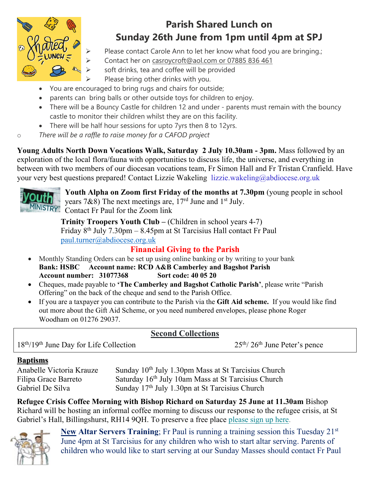

# **Parish Shared Lunch on Sunday 26th June from 1pm until 4pm at SPJ**

- Please contact Carole Ann to let her know what food you are bringing.;
- Contact her on casroycroft@aol.com or 07885 836 461
- soft drinks, tea and coffee will be provided
- Please bring other drinks with you.
- You are encouraged to bring rugs and chairs for outside;
- parents can bring balls or other outside toys for children to enjoy.
- There will be a Bouncy Castle for children 12 and under parents must remain with the bouncy castle to monitor their children whilst they are on this facility.
- There will be half hour sessions for upto 7yrs then 8 to 12yrs.
- o *There will be a raffle to raise money for a CAFOD project*

**Young Adults North Down Vocations Walk, Saturday 2 July 10.30am - 3pm.** Mass followed by an exploration of the local flora/fauna with opportunities to discuss life, the universe, and everything in between with two members of our diocesan vocations team, Fr Simon Hall and Fr Tristan Cranfield. Have your very best questions prepared! Contact Lizzie Wakeling lizzie.wakeling@abdiocese.org.uk



**Youth Alpha on Zoom first Friday of the months at 7.30pm** (young people in school years 7&8) The next meetings are,  $17<sup>rd</sup>$  June and  $1<sup>st</sup>$  July. MINISTRY Contact Fr Paul for the Zoom link

**Trinity Troopers Youth Club –** (Children in school years 4-7) Friday  $8<sup>th</sup>$  July 7.30pm – 8.45pm at St Tarcisius Hall contact Fr Paul [paul.turner@abdiocese.org.uk](mailto:paul.turner@abdiocese.org.uk) 

# **Financial Giving to the Parish**

- Monthly Standing Orders can be set up using online banking or by writing to your bank **Bank: HSBC Account name: RCD A&B Camberley and Bagshot Parish Account number: 31077368 Sort code: 40 05 20**
- Cheques, made payable to **'The Camberley and Bagshot Catholic Parish'**, please write "Parish Offering" on the back of the cheque and send to the Parish Office.
- If you are a taxpayer you can contribute to the Parish via the **Gift Aid scheme.** If you would like find out more about the Gift Aid Scheme, or you need numbered envelopes, please phone Roger Woodham on 01276 29037.

## **Second Collections**

18<sup>th</sup>/19<sup>th</sup> June Day for Life Collection 25<sup>th</sup>/26<sup>th</sup> June Peter's pence

## **Baptisms**

Anabelle Victoria Krauze Sunday 10<sup>th</sup> July 1.30pm Mass at St Tarcisius Church Filipa Grace Barreto Saturday 16<sup>th</sup> July 10am Mass at St Tarcisius Church<br>Gabriel De Silva Sunday 17<sup>th</sup> July 1.30pn at St Tarcisius Church Sunday 17<sup>th</sup> July 1.30pn at St Tarcisius Church

**Refugee Crisis Coffee Morning with Bishop Richard on Saturday 25 June at 11.30am** Bishop Richard will be hosting an informal coffee morning to discuss our response to the refugee crisis, at St Gabriel's Hall, Billingshurst, RH14 9QH. To preserve a free place [please sign up here.](https://eur02.safelinks.protection.outlook.com/?url=https%3A%2F%2Fabdiocese.us9.list-manage.com%2Ftrack%2Fclick%3Fu%3D6ad3715cf61665df736c264a6%26id%3D1fc5c700d0%26e%3D1f942c9333&data=05%7C01%7Cpaul.turner%40abdiocese.org.uk%7C1373acbc2f61448a184e08da3434e977%7C2bf5dbc217ef4efca1c9ab2dc4edefd0%7C0%7C0%7C637879699103419213%7CUnknown%7CTWFpbGZsb3d8eyJWIjoiMC4wLjAwMDAiLCJQIjoiV2luMzIiLCJBTiI6Ik1haWwiLCJXVCI6Mn0%3D%7C3000%7C%7C%7C&sdata=f396MJNMJkyikoY3LHLNQ7DKZgZk9HHi3ESlHy2S0PI%3D&reserved=0)



**New Altar Servers Training**; Fr Paul is running a training session this Tuesday 21st June 4pm at St Tarcisius for any children who wish to start altar serving. Parents of children who would like to start serving at our Sunday Masses should contact Fr Paul